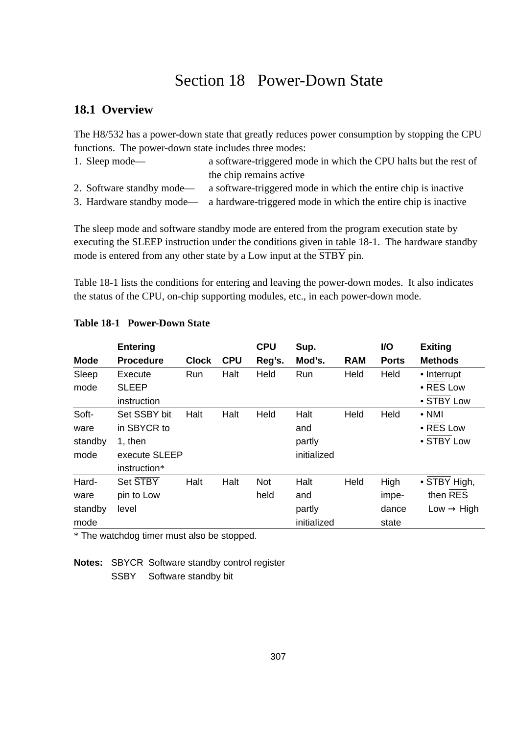# Section 18 Power-Down State

# **18.1 Overview**

The H8/532 has a power-down state that greatly reduces power consumption by stopping the CPU functions. The power-down state includes three modes:

| 1. Sleep mode—            | a software-triggered mode in which the CPU halts but the rest of |
|---------------------------|------------------------------------------------------------------|
|                           | the chip remains active                                          |
| 2. Software standby mode— | a software-triggered mode in which the entire chip is inactive   |
|                           |                                                                  |

3. Hardware standby mode— a hardware-triggered mode in which the entire chip is inactive

The sleep mode and software standby mode are entered from the program execution state by executing the SLEEP instruction under the conditions given in table 18-1. The hardware standby mode is entered from any other state by a Low input at the STBY pin.

Table 18-1 lists the conditions for entering and leaving the power-down modes. It also indicates the status of the CPU, on-chip supporting modules, etc., in each power-down mode.

|             | <b>Entering</b>  |              |            | <b>CPU</b> | Sup.        |            | <b>VO</b>    | <b>Exiting</b>         |
|-------------|------------------|--------------|------------|------------|-------------|------------|--------------|------------------------|
| <b>Mode</b> | <b>Procedure</b> | <b>Clock</b> | <b>CPU</b> | Reg's.     | Mod's.      | <b>RAM</b> | <b>Ports</b> | <b>Methods</b>         |
| Sleep       | Execute          | <b>Run</b>   | Halt       | Held       | <b>Run</b>  | Held       | Held         | • Interrupt            |
| mode        | <b>SLEEP</b>     |              |            |            |             |            |              | • RES Low              |
|             | instruction      |              |            |            |             |            |              | • STBY Low             |
| Soft-       | Set SSBY bit     | Halt         | Halt       | Held       | Halt        | Held       | Held         | $\bullet$ NMI          |
| ware        | in SBYCR to      |              |            |            | and         |            |              | $\bullet$ RES Low      |
| standby     | 1. then          |              |            |            | partly      |            |              | • STBY Low             |
| mode        | execute SLEEP    |              |            |            | initialized |            |              |                        |
|             | instruction*     |              |            |            |             |            |              |                        |
| Hard-       | Set STBY         | Halt         | Halt       | Not        | Halt        | Held       | High         | • STBY High,           |
| ware        | pin to Low       |              |            | held       | and         |            | impe-        | then RES               |
| standby     | level            |              |            |            | partly      |            | dance        | Low $\rightarrow$ High |
| mode        |                  |              |            |            | initialized |            | state        |                        |

#### **Table 18-1 Power-Down State**

\* The watchdog timer must also be stopped.

**Notes:** SBYCR Software standby control register

SSBY Software standby bit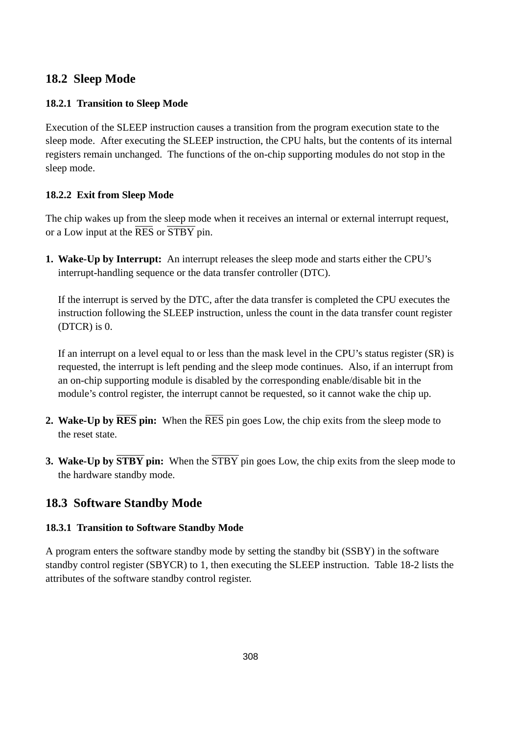## **18.2 Sleep Mode**

#### **18.2.1 Transition to Sleep Mode**

Execution of the SLEEP instruction causes a transition from the program execution state to the sleep mode. After executing the SLEEP instruction, the CPU halts, but the contents of its internal registers remain unchanged. The functions of the on-chip supporting modules do not stop in the sleep mode.

#### **18.2.2 Exit from Sleep Mode**

The chip wakes up from the sleep mode when it receives an internal or external interrupt request, or a Low input at the RES or STBY pin.

**1. Wake-Up by Interrupt:** An interrupt releases the sleep mode and starts either the CPU's interrupt-handling sequence or the data transfer controller (DTC).

If the interrupt is served by the DTC, after the data transfer is completed the CPU executes the instruction following the SLEEP instruction, unless the count in the data transfer count register (DTCR) is 0.

If an interrupt on a level equal to or less than the mask level in the CPU's status register (SR) is requested, the interrupt is left pending and the sleep mode continues. Also, if an interrupt from an on-chip supporting module is disabled by the corresponding enable/disable bit in the module's control register, the interrupt cannot be requested, so it cannot wake the chip up.

- **2. Wake-Up by RES pin:** When the RES pin goes Low, the chip exits from the sleep mode to the reset state.
- **3. Wake-Up by STBY pin:** When the  $\overline{\text{STBY}}$  pin goes Low, the chip exits from the sleep mode to the hardware standby mode.

### **18.3 Software Standby Mode**

### **18.3.1 Transition to Software Standby Mode**

A program enters the software standby mode by setting the standby bit (SSBY) in the software standby control register (SBYCR) to 1, then executing the SLEEP instruction. Table 18-2 lists the attributes of the software standby control register.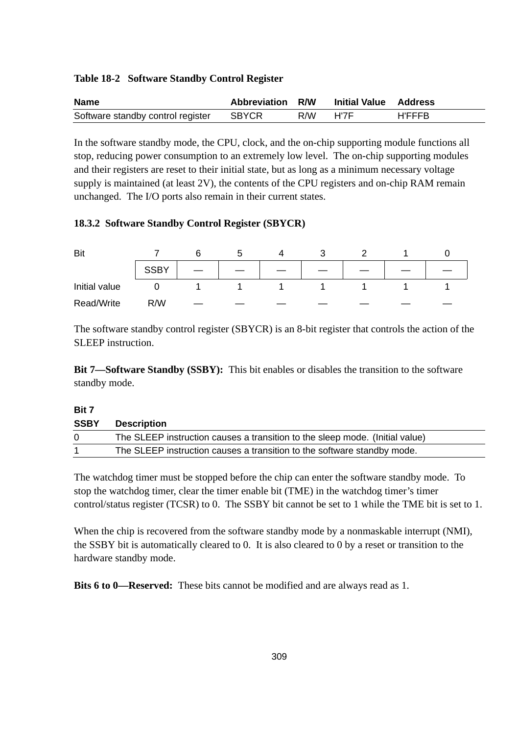#### **Table 18-2 Software Standby Control Register**

| <b>Name</b>                       | Abbreviation R/W |          | <b>Initial Value Address</b> |        |
|-----------------------------------|------------------|----------|------------------------------|--------|
| Software standby control register | SBYCR            | R/W H'7F |                              | H'FFFB |

In the software standby mode, the CPU, clock, and the on-chip supporting module functions all stop, reducing power consumption to an extremely low level. The on-chip supporting modules and their registers are reset to their initial state, but as long as a minimum necessary voltage supply is maintained (at least 2V), the contents of the CPU registers and on-chip RAM remain unchanged. The I/O ports also remain in their current states.

#### **18.3.2 Software Standby Control Register (SBYCR)**

| Bit           |             |  |  |  |  |
|---------------|-------------|--|--|--|--|
|               | <b>SSBY</b> |  |  |  |  |
| Initial value |             |  |  |  |  |
| Read/Write    | R/W         |  |  |  |  |

The software standby control register (SBYCR) is an 8-bit register that controls the action of the SLEEP instruction.

**Bit 7—Software Standby (SSBY):** This bit enables or disables the transition to the software standby mode.

#### **Bit 7**

| <b>SSBY</b> | <b>Description</b>                                                           |
|-------------|------------------------------------------------------------------------------|
| $\Omega$    | The SLEEP instruction causes a transition to the sleep mode. (Initial value) |
|             | The SLEEP instruction causes a transition to the software standby mode.      |

The watchdog timer must be stopped before the chip can enter the software standby mode. To stop the watchdog timer, clear the timer enable bit (TME) in the watchdog timer's timer control/status register (TCSR) to 0. The SSBY bit cannot be set to 1 while the TME bit is set to 1.

When the chip is recovered from the software standby mode by a nonmaskable interrupt (NMI), the SSBY bit is automatically cleared to 0. It is also cleared to 0 by a reset or transition to the hardware standby mode.

**Bits 6 to 0—Reserved:** These bits cannot be modified and are always read as 1.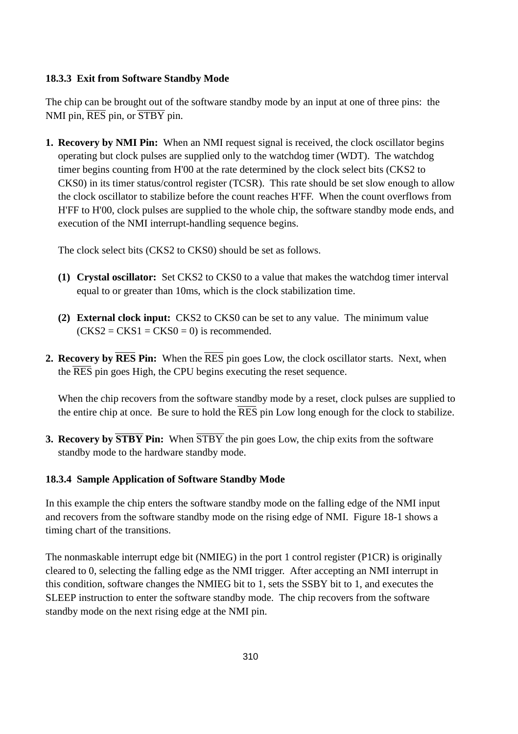#### **18.3.3 Exit from Software Standby Mode**

The chip can be brought out of the software standby mode by an input at one of three pins: the NMI pin, RES pin, or STBY pin.

**1. Recovery by NMI Pin:** When an NMI request signal is received, the clock oscillator begins operating but clock pulses are supplied only to the watchdog timer (WDT). The watchdog timer begins counting from H'00 at the rate determined by the clock select bits (CKS2 to CKS0) in its timer status/control register (TCSR). This rate should be set slow enough to allow the clock oscillator to stabilize before the count reaches H'FF. When the count overflows from H'FF to H'00, clock pulses are supplied to the whole chip, the software standby mode ends, and execution of the NMI interrupt-handling sequence begins.

The clock select bits (CKS2 to CKS0) should be set as follows.

- **(1) Crystal oscillator:** Set CKS2 to CKS0 to a value that makes the watchdog timer interval equal to or greater than 10ms, which is the clock stabilization time.
- **(2) External clock input:** CKS2 to CKS0 can be set to any value. The minimum value  $(CKS2 = CKS1 = CKS0 = 0)$  is recommended.
- **2. Recovery by RES Pin:** When the RES pin goes Low, the clock oscillator starts. Next, when the RES pin goes High, the CPU begins executing the reset sequence.

When the chip recovers from the software standby mode by a reset, clock pulses are supplied to the entire chip at once. Be sure to hold the RES pin Low long enough for the clock to stabilize.

**3. Recovery by STBY Pin:** When STBY the pin goes Low, the chip exits from the software standby mode to the hardware standby mode.

#### **18.3.4 Sample Application of Software Standby Mode**

In this example the chip enters the software standby mode on the falling edge of the NMI input and recovers from the software standby mode on the rising edge of NMI. Figure 18-1 shows a timing chart of the transitions.

The nonmaskable interrupt edge bit (NMIEG) in the port 1 control register (P1CR) is originally cleared to 0, selecting the falling edge as the NMI trigger. After accepting an NMI interrupt in this condition, software changes the NMIEG bit to 1, sets the SSBY bit to 1, and executes the SLEEP instruction to enter the software standby mode. The chip recovers from the software standby mode on the next rising edge at the NMI pin.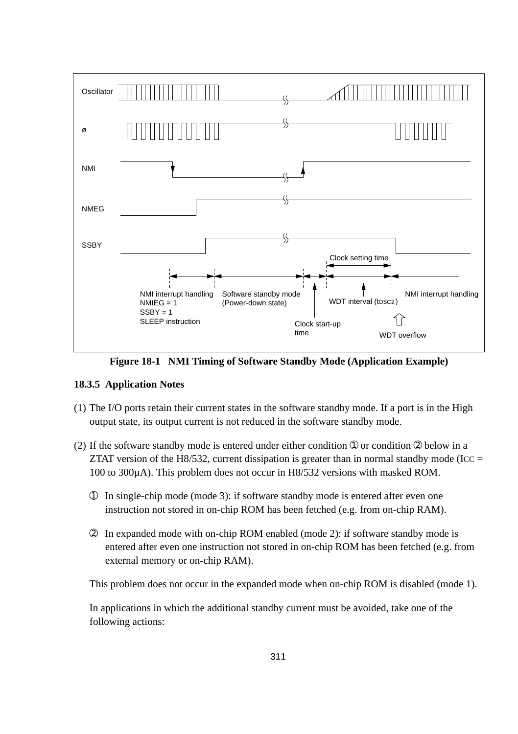

**Figure 18-1 NMI Timing of Software Standby Mode (Application Example)**

#### **18.3.5 Application Notes**

- (1) The I/O ports retain their current states in the software standby mode. If a port is in the High output state, its output current is not reduced in the software standby mode.
- (2) If the software standby mode is entered under either condition  $\mathcal D$  or condition  $\mathcal D$  below in a ZTAT version of the H8/532, current dissipation is greater than in normal standby mode (ICC  $=$ 100 to 300µA). This problem does not occur in H8/532 versions with masked ROM.
	- ➀ In single-chip mode (mode 3): if software standby mode is entered after even one instruction not stored in on-chip ROM has been fetched (e.g. from on-chip RAM).
	- ➁ In expanded mode with on-chip ROM enabled (mode 2): if software standby mode is entered after even one instruction not stored in on-chip ROM has been fetched (e.g. from external memory or on-chip RAM).

This problem does not occur in the expanded mode when on-chip ROM is disabled (mode 1).

In applications in which the additional standby current must be avoided, take one of the following actions: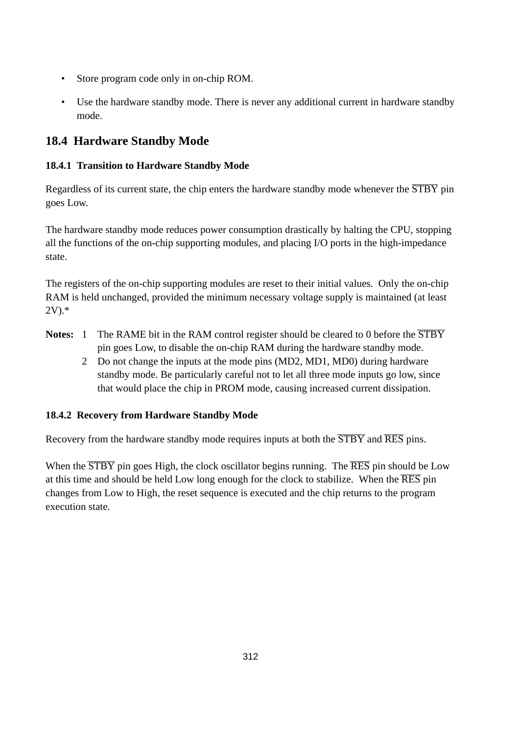- Store program code only in on-chip ROM.
- Use the hardware standby mode. There is never any additional current in hardware standby mode.

# **18.4 Hardware Standby Mode**

#### **18.4.1 Transition to Hardware Standby Mode**

Regardless of its current state, the chip enters the hardware standby mode whenever the  $\overline{STBY}$  pin goes Low.

The hardware standby mode reduces power consumption drastically by halting the CPU, stopping all the functions of the on-chip supporting modules, and placing I/O ports in the high-impedance state.

The registers of the on-chip supporting modules are reset to their initial values. Only the on-chip RAM is held unchanged, provided the minimum necessary voltage supply is maintained (at least 2V).\*

- Notes: 1 The RAME bit in the RAM control register should be cleared to 0 before the  $\overline{STBY}$ pin goes Low, to disable the on-chip RAM during the hardware standby mode.
	- 2 Do not change the inputs at the mode pins (MD2, MD1, MD0) during hardware standby mode. Be particularly careful not to let all three mode inputs go low, since that would place the chip in PROM mode, causing increased current dissipation.

### **18.4.2 Recovery from Hardware Standby Mode**

Recovery from the hardware standby mode requires inputs at both the  $\overline{STBY}$  and  $\overline{RES}$  pins.

When the  $\overline{\text{STBY}}$  pin goes High, the clock oscillator begins running. The  $\overline{\text{RES}}$  pin should be Low at this time and should be held Low long enough for the clock to stabilize. When the RES pin changes from Low to High, the reset sequence is executed and the chip returns to the program execution state.